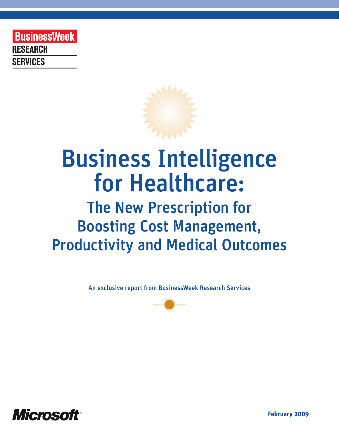**BusinessWeek RESEARCH SERVICES** 

# Business Intelligence for Healthcare:

# The New Prescription for Boosting Cost Management, Productivity and Medical Outcomes

An exclusive report from BusinessWeek Research Services





**February 2009**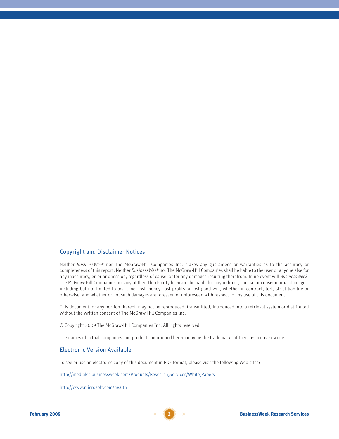#### Copyright and Disclaimer Notices

Neither *BusinessWeek* nor The McGraw-Hill Companies Inc. makes any guarantees or warranties as to the accuracy or completeness of this report. Neither *BusinessWeek* nor The McGraw-Hill Companies shall be liable to the user or anyone else for any inaccuracy, error or omission, regardless of cause, or for any damages resulting therefrom. In no event will *BusinessWeek*, The McGraw-Hill Companies nor any of their third-party licensors be liable for any indirect, special or consequential damages, including but not limited to lost time, lost money, lost profits or lost good will, whether in contract, tort, strict liability or otherwise, and whether or not such damages are foreseen or unforeseen with respect to any use of this document.

This document, or any portion thereof, may not be reproduced, transmitted, introduced into a retrieval system or distributed without the written consent of The McGraw-Hill Companies Inc.

© Copyright 2009 The McGraw-Hill Companies Inc. All rights reserved.

The names of actual companies and products mentioned herein may be the trademarks of their respective owners.

#### Electronic Version Available

To see or use an electronic copy of this document in PDF format, please visit the following Web sites:

[http://mediakit.businessweek.com/Products/Research\\_Services/White\\_Papers](http://mediakit.businessweek.com/Products/Research_Services/White_Papers)

<http://www.microsoft.com/health>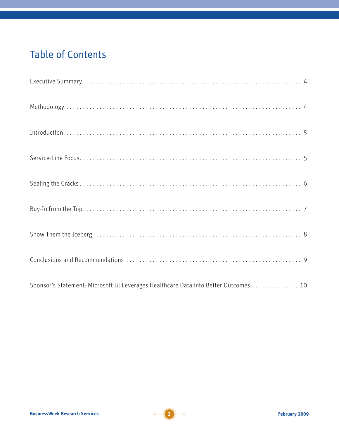### Table of Contents

| Sponsor's Statement: Microsoft BI Leverages Healthcare Data into Better Outcomes 10 |
|-------------------------------------------------------------------------------------|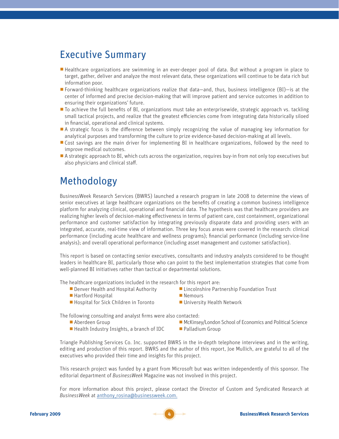### Executive Summary

- Healthcare organizations are swimming in an ever-deeper pool of data. But without a program in place to target, gather, deliver and analyze the most relevant data, these organizations will continue to be data rich but information poor.
- **Forward-thinking healthcare organizations realize that data—and, thus, business intelligence (BI)—is at the** center of informed and precise decision-making that will improve patient and service outcomes in addition to ensuring their organizations' future.
- $\blacksquare$  To achieve the full benefits of BI, organizations must take an enterprisewide, strategic approach vs. tackling small tactical projects, and realize that the greatest efficiencies come from integrating data historically siloed in financial, operational and clinical systems.
- $\blacksquare$  A strategic focus is the difference between simply recognizing the value of managing key information for analytical purposes and transforming the culture to prize evidence-based decision-making at all levels.
- Gost savings are the main driver for implementing BI in healthcare organizations, followed by the need to improve medical outcomes.
- A strategic approach to BI, which cuts across the organization, requires buy-in from not only top executives but also physicians and clinical staff.

### Methodology

BusinessWeek Research Services (BWRS) launched a research program in late 2008 to determine the views of senior executives at large healthcare organizations on the benefits of creating a common business intelligence platform for analyzing clinical, operational and financial data. The hypothesis was that healthcare providers are realizing higher levels of decision-making effectiveness in terms of patient care, cost containment, organizational performance and customer satisfaction by integrating previously disparate data and providing users with an integrated, accurate, real-time view of information. Three key focus areas were covered in the research: clinical performance (including acute healthcare and wellness programs); financial performance (including service-line analysis); and overall operational performance (including asset management and customer satisfaction).

This report is based on contacting senior executives, consultants and industry analysts considered to be thought leaders in healthcare BI, particularly those who can point to the best implementation strategies that come from well-planned BI initiatives rather than tactical or departmental solutions.

The healthcare organizations included in the research for this report are:

- 
- 
- Hartford Hospital<br>■ Hospital for Sick Children in Toronto<br>■ University Health Network  $\blacksquare$  Hospital for Sick Children in Toronto
- Denver Health and Hospital Authority **b Lincolnshire Partnership Foundation Trust**<br>■ Nemours
	-
	-

The following consulting and analyst firms were also contacted:

- 
- $\blacksquare$  Health Industry Insights, a branch of IDC
- Aberdeen Group **b Aberdeen Group b McKinsey/London School of Economics and Political Science**<br> **Health Industry Insights, a branch of IDC Delamic Political Science Palladium Group Group** 
	-

Triangle Publishing Services Co. Inc. supported BWRS in the in-depth telephone interviews and in the writing, editing and production of this report. BWRS and the author of this report, Joe Mullich, are grateful to all of the executives who provided their time and insights for this project.

This research project was funded by a grant from Microsoft but was written independently of this sponsor. The editorial department of *BusinessWeek* Magazine was not involved in this project.

For more information about this project, please contact the Director of Custom and Syndicated Research at *BusinessWeek* at [anthony\\_rosina@businessweek.com.](mailto:anthony_rosina@businessweek.com)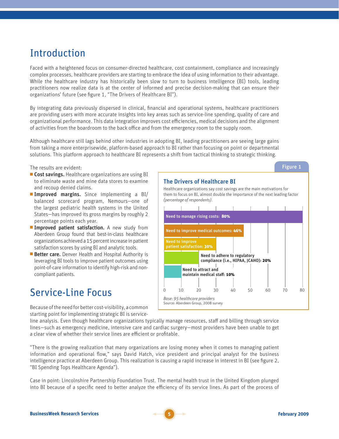### Introduction

Faced with a heightened focus on consumer-directed healthcare, cost containment, compliance and increasingly complex processes, healthcare providers are starting to embrace the idea of using information to their advantage. While the healthcare industry has historically been slow to turn to business intelligence (BI) tools, leading practitioners now realize data is at the center of informed and precise decision-making that can ensure their organizations' future (see figure 1, "The Drivers of Healthcare BI").

By integrating data previously dispersed in clinical, financial and operational systems, healthcare practitioners are providing users with more accurate insights into key areas such as service-line spending, quality of care and organizational performance. This data integration improves cost efficiencies, medical decisions and the alignment of activities from the boardroom to the back office and from the emergency room to the supply room.

Although healthcare still lags behind other industries in adopting BI, leading practitioners are seeing large gains from taking a more enterprisewide, platform-based approach to BI rather than focusing on point or departmental solutions. This platform approach to healthcare BI represents a shift from tactical thinking to strategic thinking.

The results are evident:

- Cost savings. Healthcare organizations are using BI to eliminate waste and mine data stores to examine and recoup denied claims.
- **Improved margins.** Since implementing a BI/ balanced scorecard program, Nemours—one of the largest pediatric health systems in the United States—has improved its gross margins by roughly 2 percentage points each year.
- **Improved patient satisfaction.** A new study from Aberdeen Group found that best-in-class healthcare organizations achieved a 15 percent increase in patient satisfaction scores by using BI and analytic tools.
- **Better care.** Denver Health and Hospital Authority is leveraging BI tools to improve patient outcomes using point-of-care information to identify high-risk and noncompliant patients.

## Service-Line Focus



Healthcare organizations say cost savings are the main motivations for them to focus on BI, almost double the importance of the next leading factor

The Drivers of Healthcare BI

Because of the need for better cost-visibility, a common starting point for implementing strategic BI is service-

line analysis. Even though healthcare organizations typically manage resources, staff and billing through service lines—such as emergency medicine, intensive care and cardiac surgery—most providers have been unable to get a clear view of whether their service lines are efficient or profitable.

"There is the growing realization that many organizations are losing money when it comes to managing patient information and operational flow," says David Hatch, vice president and principal analyst for the business intelligence practice at Aberdeen Group. This realization is causing a rapid increase in interest in BI (see figure 2, "BI Spending Tops Healthcare Agenda").

Case in point: Lincolnshire Partnership Foundation Trust. The mental health trust in the United Kingdom plunged into BI because of a specific need to better analyze the efficiency of its service lines. As part of the process of

Figure 1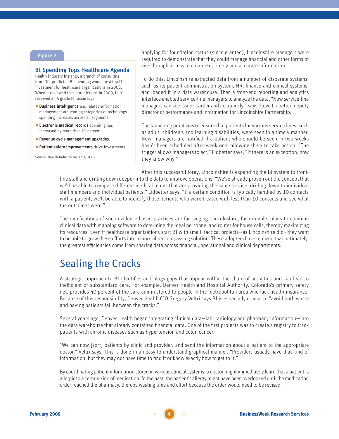#### Figure 2

#### BI Spending Tops Healthcare Agenda

Health Industry Insights, a branch of consulting firm IDC, predicted BI spending would be a top IT investment for healthcare organizations in 2008. When it reviewed these predictions in 2009, four received an A grade for accuracy:

- **Business intelligence** and related information management are leading categories of technology spending increases across all segments.
- **Electronic medical records** spending has increased by more than 10 percent.
- Revenue cycle management upgrades.
- **Patient safety improvements** drive investments.

Source: Health Industry Insights, 2009

applying for foundation status (since granted), Lincolnshire managers were required to demonstrate that they could manage financial and other forms of risk through access to complete, timely and accurate information.

To do this, Lincolnshire extracted data from a number of disparate systems, such as its patient administration system, HR, finance and clinical systems, and loaded it in a data warehouse. Then a front-end reporting and analytics interface enabled service-line managers to analyze the data. "Now service-line managers can see issues earlier and act quickly," says Steve Lidbetter, deputy director of performance and information for Lincolnshire Partnership.

The launching point was to ensure that patients for various service lines, such as adult, children's and learning disabilities, were seen in a timely manner. Now, managers are notified if a patient who should be seen in two weeks hasn't been scheduled after week one, allowing them to take action. "The trigger allows managers to act," Lidbetter says. "If there is an exception, now they know why."

After this successful foray, Lincolnshire is expanding the BI system to frontline staff and drilling down deeper into the data to improve operations. "We've already proven out the concept that we'll be able to compare different medical teams that are providing the same service, drilling down to individual staff members and individual patients," Lidbetter says. "If a certain condition is typically handled by 10 contacts with a patient, we'll be able to identify those patients who were treated with less than 10 contacts and see what the outcomes were."

The ramifications of such evidence-based practices are far-ranging. Lincolnshire, for example, plans to combine clinical data with mapping software to determine the ideal personnel and routes for house calls, thereby maximizing its resources. Even if healthcare organizations start BI with small, tactical projects—as Lincolnshire did—they want to be able to grow these efforts into a more all-encompassing solution. These adopters have realized that, ultimately, the greatest efficiencies come from sharing data across financial, operational and clinical departments.

### Sealing the Cracks

A strategic approach to BI identifies and plugs gaps that appear within the chain of activities and can lead to inefficient or substandard care. For example, Denver Health and Hospital Authority, Colorado's primary safety net, provides 40 percent of the care administered to people in the metropolitan area who lack health insurance. Because of this responsibility, Denver Health CIO Gregory Veltri says BI is especially crucial to "avoid both waste and having patients fall between the cracks."

Several years ago, Denver Health began integrating clinical data—lab, radiology and pharmacy information—into the data warehouse that already contained financial data. One of the first projects was to create a registry to track patients with chronic diseases such as hypertension and colon cancer.

"We can now [sort] patients by clinic and provider, and send the information about a patient to the appropriate doctor," Veltri says. This is done in an easy-to-understand graphical manner. "Providers usually have that kind of information, but they may not have time to find it or know exactly how to get to it."

By coordinating patient information stored in various clinical systems, a doctor might immediately learn that a patient is allergic to a certain kind of medication. In the past, the patient's allergy might have been overlooked until the medication order reached the pharmacy, thereby wasting time and effort because the order would need to be revised.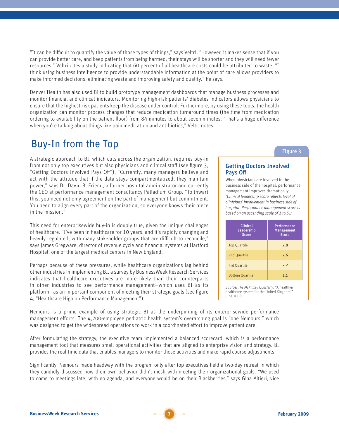"It can be difficult to quantify the value of those types of things," says Veltri. "However, it makes sense that if you can provide better care, and keep patients from being harmed, their stays will be shorter and they will need fewer resources." Veltri cites a study indicating that 60 percent of all healthcare costs could be attributed to waste. "I think using business intelligence to provide understandable information at the point of care allows providers to make informed decisions, eliminating waste and improving safety and quality," he says.

Denver Health has also used BI to build prototype management dashboards that manage business processes and monitor financial and clinical indicators. Monitoring high-risk patients' diabetes indicators allows physicians to ensure that the highest risk patients keep the disease under control. Furthermore, by using these tools, the health organization can monitor process changes that reduce medication turnaround times (the time from medication ordering to availability on the patient floor) from 84 minutes to about seven minutes. "That's a huge difference when you're talking about things like pain medication and antibiotics," Veltri notes.

### Buy-In from the Top

A strategic approach to BI, which cuts across the organization, requires buy-in from not only top executives but also physicians and clinical staff (see figure 3, "Getting Doctors Involved Pays Off"). "Currently, many managers believe and act with the attitude that if the data stays compartmentalized, they maintain power," says Dr. David B. Friend, a former hospital administrator and currently the CEO at performance management consultancy Palladium Group. "To thwart this, you need not only agreement on the part of management but commitment. You need to align every part of the organization, so everyone knows their piece in the mission."

This need for enterprisewide buy-in is doubly true, given the unique challenges of healthcare. "I've been in healthcare for 10 years, and it's rapidly changing and heavily regulated, with many stakeholder groups that are difficult to reconcile," says James Gregware, director of revenue cycle and financial systems at Hartford Hospital, one of the largest medical centers in New England.

Perhaps because of these pressures, while healthcare organizations lag behind other industries in implementing BI, a survey by BusinessWeek Research Services indicates that healthcare executives are more likely than their counterparts in other industries to see performance management—which uses BI as its platform—as an important component of meeting their strategic goals (see figure 4, "Healthcare High on Performance Management").

#### Figure 3

#### Getting Doctors Involved Pays Off

When physicians are involved in the business side of the hospital, performance management improves dramatically. *(Clinical leadership score reflects level of clinicians' involvement in business side of hospital. Performance management score is based on an ascending scale of 1 to 5.)* 

| <b>Clinical</b><br>Leadership<br><b>Score</b> | <b>Performance</b><br><b>Management</b><br><b>Score</b> |
|-----------------------------------------------|---------------------------------------------------------|
| <b>Top Quartile</b>                           | 2.8                                                     |
| 2nd Ouartile                                  | 2.6                                                     |
| 3rd Ouartile                                  | 2.2                                                     |
| <b>Bottom Quartile</b>                        | 2.1                                                     |

Source: *The McKinsey Quarterly*, "A healthier healthcare system for the United Kingdom," June 2008

Nemours is a prime example of using strategic BI as the underpinning of its enterprisewide performance management efforts. The 4,200-employee pediatric health system's overarching goal is "one Nemours," which was designed to get the widespread operations to work in a coordinated effort to improve patient care.

After formulating the strategy, the executive team implemented a balanced scorecard, which is a performance management tool that measures small operational activities that are aligned to enterprise vision and strategy. BI provides the real-time data that enables managers to monitor those activities and make rapid course adjustments.

Significantly, Nemours made headway with the program only after top executives held a two-day retreat in which they candidly discussed how their own behavior didn't mesh with meeting their organizational goals. "We used to come to meetings late, with no agenda, and everyone would be on their Blackberries," says Gina Altieri, vice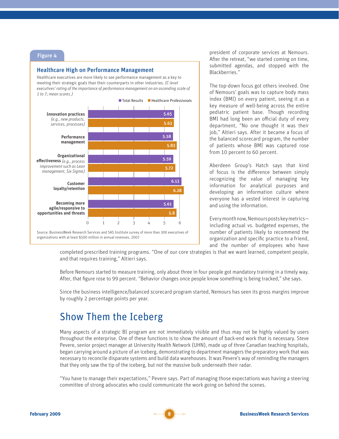#### Healthcare High on Performance Management

Healthcare executives are more likely to see performance management as a key to meeting their strategic goals than their counterparts in other industries. *(C-level executives' rating of the importance of performance management on an ascending scale of 1 to 7; mean scores.)*



president of corporate services at Nemours. After the retreat, "we started coming on time, submitted agendas, and stopped with the Blackberries."

The top-down focus got others involved. One of Nemours' goals was to capture body mass index (BMI) on every patient, seeing it as a key measure of well-being across the entire pediatric patient base. Though recording BMI had long been an official duty of every department, "No one thought it was their job," Altieri says. After it became a focus of the balanced scorecard program, the number of patients whose BMI was captured rose from 10 percent to 60 percent.

Aberdeen Group's Hatch says that kind of focus is the difference between simply recognizing the value of managing key information for analytical purposes and developing an information culture where everyone has a vested interest in capturing and using the information.

Every month now, Nemours posts key metrics including actual vs. budgeted expenses, the number of patients likely to recommend the organization and specific practice to a friend, and the number of employees who have

completed prescribed training programs. "One of our core strategies is that we want learned, competent people, and that requires training," Altieri says.

Before Nemours started to measure training, only about three in four people got mandatory training in a timely way. After, that figure rose to 99 percent. "Behavior changes once people know something is being tracked," she says.

Since the business intelligence/balanced scorecard program started, Nemours has seen its gross margins improve by roughly 2 percentage points per year.

### Show Them the Iceberg

Many aspects of a strategic BI program are not immediately visible and thus may not be highly valued by users throughout the enterprise. One of these functions is to show the amount of back-end work that is necessary. Steve Pevere, senior project manager at University Health Network (UHN), made up of three Canadian teaching hospitals, began carrying around a picture of an iceberg, demonstrating to department managers the preparatory work that was necessary to reconcile disparate systems and build data warehouses. It was Pevere's way of reminding the managers that they only saw the tip of the iceberg, but not the massive bulk underneath their radar.

"You have to manage their expectations," Pevere says. Part of managing those expectations was having a steering committee of strong advocates who could communicate the work going on behind the scenes.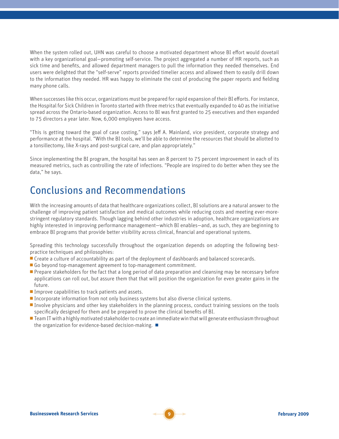When the system rolled out, UHN was careful to choose a motivated department whose BI effort would dovetail with a key organizational goal—promoting self-service. The project aggregated a number of HR reports, such as sick time and benefits, and allowed department managers to pull the information they needed themselves. End users were delighted that the "self-serve" reports provided timelier access and allowed them to easily drill down to the information they needed. HR was happy to eliminate the cost of producing the paper reports and fielding many phone calls.

When successes like this occur, organizations must be prepared for rapid expansion of their BI efforts. For instance, the Hospital for Sick Children in Toronto started with three metrics that eventually expanded to 40 as the initiative spread across the Ontario-based organization. Access to BI was first granted to 25 executives and then expanded to 75 directors a year later. Now, 6,000 employees have access.

"This is getting toward the goal of case costing," says Jeff A. Mainland, vice president, corporate strategy and performance at the hospital. "With the BI tools, we'll be able to determine the resources that should be allotted to a tonsillectomy, like X-rays and post-surgical care, and plan appropriately."

Since implementing the BI program, the hospital has seen an 8 percent to 75 percent improvement in each of its measured metrics, such as controlling the rate of infections. "People are inspired to do better when they see the data," he says.

### Conclusions and Recommendations

With the increasing amounts of data that healthcare organizations collect, BI solutions are a natural answer to the challenge of improving patient satisfaction and medical outcomes while reducing costs and meeting ever-morestringent regulatory standards. Though lagging behind other industries in adoption, healthcare organizations are highly interested in improving performance management—which BI enables—and, as such, they are beginning to embrace BI programs that provide better visibility across clinical, financial and operational systems.

Spreading this technology successfully throughout the organization depends on adopting the following bestpractice techniques and philosophies:

- **Create a culture of accountability as part of the deployment of dashboards and balanced scorecards.**
- Go beyond top-management agreement to top-management commitment.
- **Prepare stakeholders for the fact that a long period of data preparation and cleansing may be necessary before** applications can roll out, but assure them that that will position the organization for even greater gains in the future.
- $\blacksquare$  Improve capabilities to track patients and assets.
- **Incorporate information from not only business systems but also diverse clinical systems.**
- **Involve physicians and other key stakeholders in the planning process, conduct training sessions on the tools** specifically designed for them and be prepared to prove the clinical benefits of BI.
- $\blacksquare$  Team IT with a highly motivated stakeholder to create an immediate win that will generate enthusiasm throughout the organization for evidence-based decision-making.  $\blacksquare$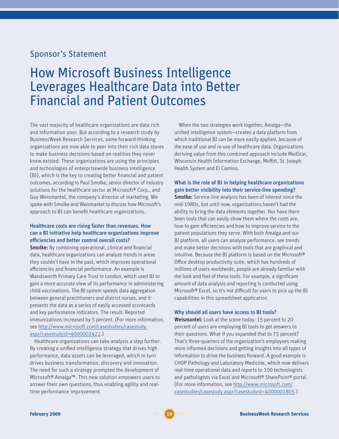### Sponsor's Statement

### How Microsoft Business Intelligence Leverages Healthcare Data into Better Financial and Patient Outcomes

The vast majority of healthcare organizations are data rich and information poor. But according to a research study by BusinessWeek Research Services, some forward-thinking organizations are now able to peer into their rich data stores to make business decisions based on realities they never knew existed. These organizations are using the principles and technologies of enterprisewide business intelligence (BI), which is the key to creating better financial and patient outcomes, according to Paul Smolke, senior director of industry solutions for the healthcare sector at Microsoft® Corp., and Guy Weismantel, the company's director of marketing. We spoke with Smolke and Weismantel to discuss how Microsoft's approach to BI can benefit healthcare organizations.

#### Healthcare costs are rising faster than revenues. How can a BI initiative help healthcare organizations improve efficiencies and better control overall costs?

**Smolke:** By combining operational, clinical and financial data, healthcare organizations can analyze trends in areas they couldn't have in the past, which improves operational efficiencies and financial performance. An example is Wandsworth Primary Care Trust in London, which used BI to gain a more accurate view of its performance in administering child vaccinations. The BI system speeds data aggregation between general practitioners and district nurses, and it presents the data as a series of easily accessed scorecards and key performance indicators. The result: Reported immunizations increased by 5 percent. (For more information, see [http://www.microsoft.com/casestudies/casestudy.](http://www.microsoft.com/casestudies/casestudy.aspx?casestudyid=4000002422) [aspx?casestudyid=4000002422.](http://www.microsoft.com/casestudies/casestudy.aspx?casestudyid=4000002422))

Healthcare organizations can take analysis a step further. By creating a unified intelligence strategy that drives high performance, data assets can be leveraged, which in turn drives business transformation, discovery and innovation. The need for such a strategy prompted the development of Microsoft® Amalga™. This new solution empowers users to answer their own questions, thus enabling agility and realtime performance improvement.

When the two strategies work together, Amalga—the unified intelligence system—creates a data platform from which traditional BI can be more easily applied, because of the ease of use and re-use of healthcare data. Organizations deriving value from this combined approach include MedStar, Wisconsin Health Information Exchange, Moffitt, St. Joseph Health System and El Camino.

#### What is the role of BI in helping healthcare organizations gain better visibility into their service-line spending?

**Smolke:** Service-line analysis has been of interest since the mid-1980s, but until now, organizations haven't had the ability to bring the data elements together. Nor have there been tools that can easily show them where the costs are, how to gain efficiencies and how to improve service to the patient populations they serve. With both Amalga and our BI platform, all users can analyze performance, see trends and make better decisions with tools that are graphical and intuitive. Because the BI platform is based on the Microsoft® Office desktop productivity suite, which has hundreds of millions of users worldwide, people are already familiar with the look and feel of these tools. For example, a significant amount of data analysis and reporting is conducted using Microsoft® Excel, so it's not difficult for users to pick up the BI capabilities in this spreadsheet application.

#### Why should all users have access to BI tools?

Weismantel: Look at the scene today: 15 percent to 20 percent of users are employing BI tools to get answers to their questions. What if you expanded that to 75 percent? That's three-quarters of the organization's employees making more informed decisions and getting insights into all types of information to drive the business forward. A good example is CHOP Pathology and Laboratory Medicine, which now delivers real-time operational data and reports to 100 technologists and pathologists via Excel and Microsoft® SharePoint® portal. (For more information, see [http://www.microsoft.com/](http://www.microsoft.com/casestudies/casestudy.aspx?casestudyid=4000001805) [casestudies/casestudy.aspx?casestudyid=4000001805](http://www.microsoft.com/casestudies/casestudy.aspx?casestudyid=4000001805).)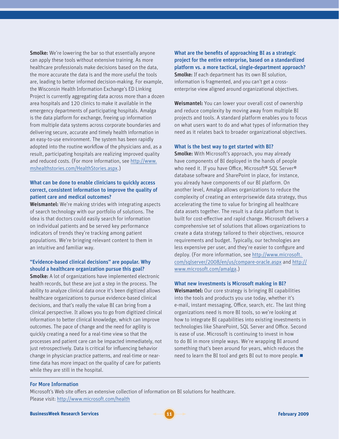**Smolke:** We're lowering the bar so that essentially anyone can apply these tools without extensive training. As more healthcare professionals make decisions based on the data, the more accurate the data is and the more useful the tools are, leading to better informed decision-making. For example, the Wisconsin Health Information Exchange's ED Linking Project is currently aggregating data across more than a dozen area hospitals and 120 clinics to make it available in the emergency departments of participating hospitals. Amalga is the data platform for exchange, freeing up information from multiple data systems across corporate boundaries and delivering secure, accurate and timely health information in an easy-to-use environment. The system has been rapidly adopted into the routine workflow of the physicians and, as a result, participating hospitals are realizing improved quality and reduced costs. (For more information, see [http://www.](http://www.mshealthstories.com/HealthStories.aspx) [mshealthstories.com/HealthStories.aspx](http://www.mshealthstories.com/HealthStories.aspx).)

#### What can be done to enable clinicians to quickly access correct, consistent information to improve the quality of patient care and medical outcomes?

Weismantel: We're making strides with integrating aspects of search technology with our portfolio of solutions. The idea is that doctors could easily search for information on individual patients and be served key performance indicators of trends they're tracking among patient populations. We're bringing relevant content to them in an intuitive and familiar way.

#### "Evidence-based clinical decisions" are popular. Why should a healthcare organization pursue this goal?

**Smolke:** A lot of organizations have implemented electronic health records, but these are just a step in the process. The ability to analyze clinical data once it's been digitized allows healthcare organizations to pursue evidence-based clinical decisions, and that's really the value BI can bring from a clinical perspective. It allows you to go from digitized clinical information to better clinical knowledge, which can improve outcomes. The pace of change and the need for agility is quickly creating a need for a real-time view so that the processes and patient care can be impacted immediately, not just retrospectively. Data is critical for influencing behavior change in physician practice patterns, and real-time or neartime data has more impact on the quality of care for patients while they are still in the hospital.

What are the benefits of approaching BI as a strategic project for the entire enterprise, based on a standardized platform vs. a more tactical, single-department approach? **Smolke:** If each department has its own BI solution. information is fragmented, and you can't get a crossenterprise view aligned around organizational objectives.

Weismantel: You can lower your overall cost of ownership and reduce complexity by moving away from multiple BI projects and tools. A standard platform enables you to focus on what users want to do and what types of information they need as it relates back to broader organizational objectives.

#### What is the best way to get started with BI?

**Smolke:** With Microsoft's approach, you may already have components of BI deployed in the hands of people who need it. If you have Office, Microsoft® SQL Server® database software and SharePoint in place, for instance, you already have components of our BI platform. On another level, Amalga allows organizations to reduce the complexity of creating an enterprisewide data strategy, thus accelerating the time to value for bringing all healthcare data assets together. The result is a data platform that is built for cost-effective and rapid change. Microsoft delivers a comprehensive set of solutions that allows organizations to create a data strategy tailored to their objectives, resource requirements and budget. Typically, our technologies are less expensive per user, and they're easier to configure and deploy. (For more information, see [http://www.microsoft.](http://www.microsoft. com/sqlserver/2008/en/us/compare-oracle.aspx)  [com/sqlserver/2008/en/us/compare-oracle.aspx](http://www.microsoft. com/sqlserver/2008/en/us/compare-oracle.aspx) and [http://](http://www.microsoft.com/amalga) [www.microsoft.com/amalga](http://www.microsoft.com/amalga).)

#### What new investments is Microsoft making in BI?

Weismantel: Our core strategy is bringing BI capabilities into the tools and products you use today, whether it's e-mail, instant messaging, Office, search, etc. The last thing organizations need is more BI tools, so we're looking at how to integrate BI capabilities into existing investments in technologies like SharePoint, SQL Server and Office. Second is ease of use. Microsoft is continuing to invest in how to do BI in more simple ways. We're wrapping BI around something that's been around for years, which reduces the need to learn the BI tool and gets BI out to more people.  $\blacksquare$ 

#### For More Information

Microsoft's Web site offers an extensive collection of information on BI solutions for healthcare. Please visit:<http://www.microsoft.com/health>